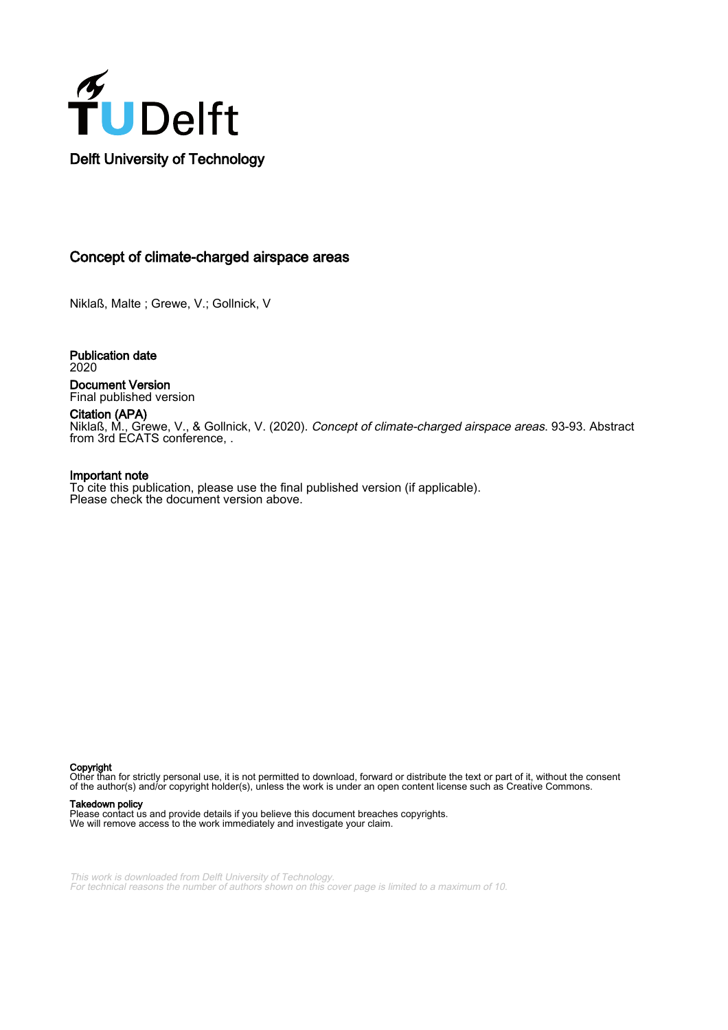

# Concept of climate-charged airspace areas

Niklaß, Malte ; Grewe, V.; Gollnick, V

Publication date 2020 Document Version

Final published version Citation (APA)

Niklaß, M., Grewe, V., & Gollnick, V. (2020). Concept of climate-charged airspace areas. 93-93. Abstract from 3rd ECATS conference, .

### Important note

To cite this publication, please use the final published version (if applicable). Please check the document version above.

Copyright

Other than for strictly personal use, it is not permitted to download, forward or distribute the text or part of it, without the consent of the author(s) and/or copyright holder(s), unless the work is under an open content license such as Creative Commons.

#### Takedown policy

Please contact us and provide details if you believe this document breaches copyrights. We will remove access to the work immediately and investigate your claim.

This work is downloaded from Delft University of Technology. For technical reasons the number of authors shown on this cover page is limited to a maximum of 10.